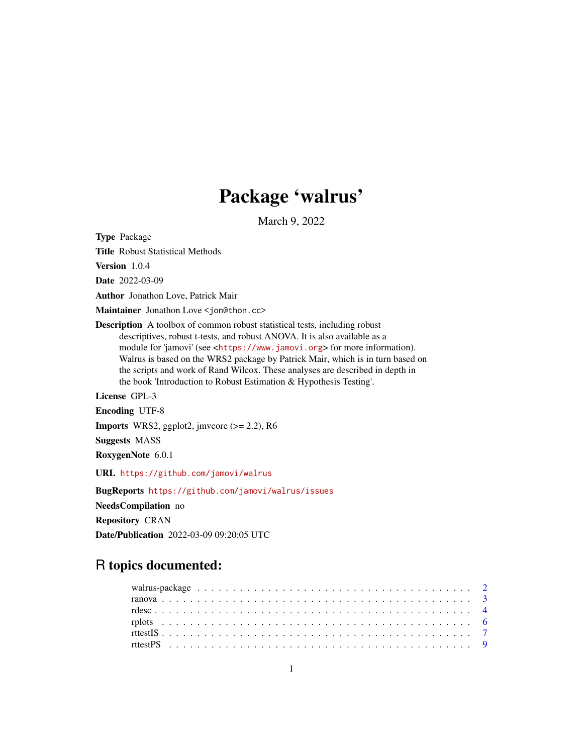## Package 'walrus'

March 9, 2022

<span id="page-0-0"></span>Type Package

Title Robust Statistical Methods

Version 1.0.4

Date 2022-03-09

Author Jonathon Love, Patrick Mair

Maintainer Jonathon Love <jon@thon.cc>

Description A toolbox of common robust statistical tests, including robust descriptives, robust t-tests, and robust ANOVA. It is also available as a module for 'jamovi' (see <<https://www.jamovi.org>> for more information). Walrus is based on the WRS2 package by Patrick Mair, which is in turn based on the scripts and work of Rand Wilcox. These analyses are described in depth in the book 'Introduction to Robust Estimation & Hypothesis Testing'.

License GPL-3

Encoding UTF-8

**Imports** WRS2, ggplot2, jmvcore  $(>= 2.2)$ , R6

Suggests MASS

RoxygenNote 6.0.1

URL <https://github.com/jamovi/walrus>

BugReports <https://github.com/jamovi/walrus/issues> NeedsCompilation no Repository CRAN Date/Publication 2022-03-09 09:20:05 UTC

### R topics documented: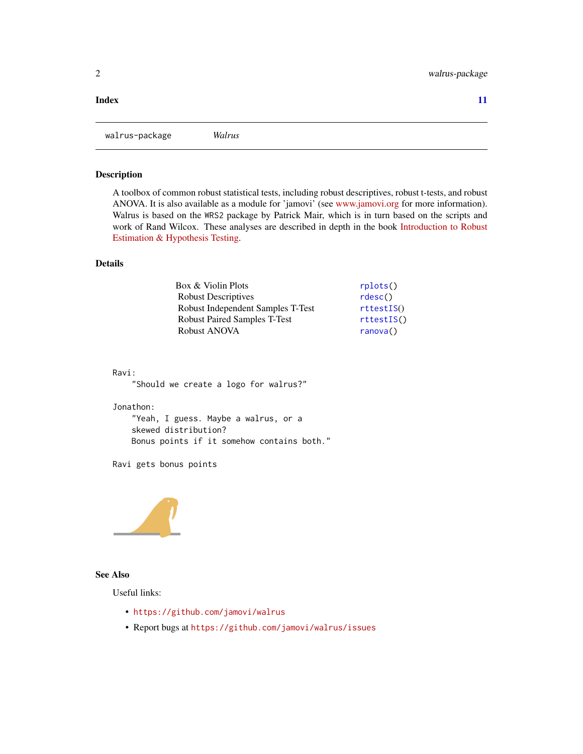#### <span id="page-1-0"></span>**Index** [11](#page-10-0)

walrus-package *Walrus*

#### Description

A toolbox of common robust statistical tests, including robust descriptives, robust t-tests, and robust ANOVA. It is also available as a module for 'jamovi' (see [www.jamovi.org](https://www.jamovi.org) for more information). Walrus is based on the WRS2 package by Patrick Mair, which is in turn based on the scripts and work of Rand Wilcox. These analyses are described in depth in the book [Introduction to Robust](https://www.amazon.com/Introduction-Estimation-Hypothesis-Statistical-Modeling/dp/012804733X) [Estimation & Hypothesis Testing.](https://www.amazon.com/Introduction-Estimation-Hypothesis-Statistical-Modeling/dp/012804733X)

#### Details

| Box & Violin Plots                  | rplots()   |
|-------------------------------------|------------|
| <b>Robust Descriptives</b>          | rdesc()    |
| Robust Independent Samples T-Test   | rttestIS() |
| <b>Robust Paired Samples T-Test</b> | rttestIS() |
| Robust ANOVA                        | ranova()   |

#### Ravi:

"Should we create a logo for walrus?"

#### Jonathon:

"Yeah, I guess. Maybe a walrus, or a skewed distribution? Bonus points if it somehow contains both."

Ravi gets bonus points



#### See Also

Useful links:

- <https://github.com/jamovi/walrus>
- Report bugs at <https://github.com/jamovi/walrus/issues>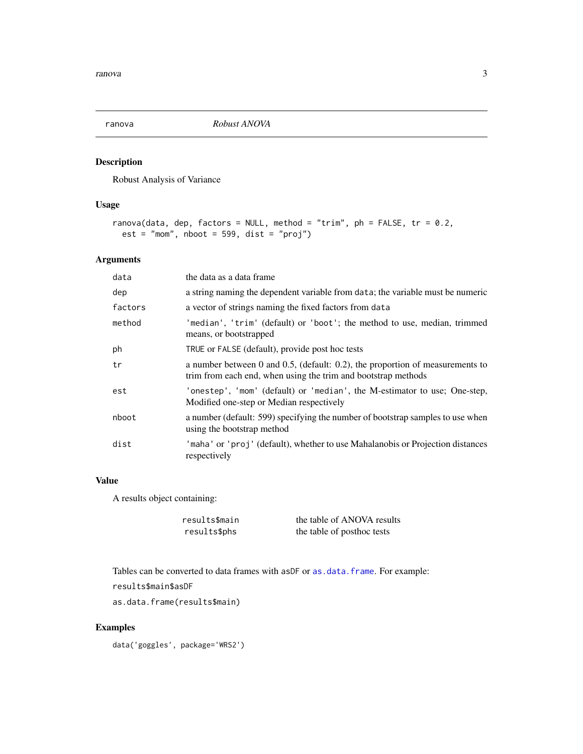<span id="page-2-1"></span><span id="page-2-0"></span>

#### Description

Robust Analysis of Variance

#### Usage

```
ranova(data, dep, factors = NULL, method = "trim", ph = FALSE, tr = 0.2,
 est = "mom", \n  noot = 599, \n  dist = "proj")
```
#### Arguments

| data    | the data as a data frame                                                                                                                       |
|---------|------------------------------------------------------------------------------------------------------------------------------------------------|
| dep     | a string naming the dependent variable from data; the variable must be numeric                                                                 |
| factors | a vector of strings naming the fixed factors from data                                                                                         |
| method  | 'median', 'trim' (default) or 'boot'; the method to use, median, trimmed<br>means, or bootstrapped                                             |
| ph      | TRUE or FALSE (default), provide post hoc tests                                                                                                |
| tr      | a number between 0 and 0.5, (default: 0.2), the proportion of measurements to<br>trim from each end, when using the trim and bootstrap methods |
| est     | 'onestep', 'mom' (default) or 'median', the M-estimator to use; One-step,<br>Modified one-step or Median respectively                          |
| nboot   | a number (default: 599) specifying the number of bootstrap samples to use when<br>using the bootstrap method                                   |
| dist    | 'maha' or 'proj' (default), whether to use Mahalanobis or Projection distances<br>respectively                                                 |

#### Value

A results object containing:

results\$main the table of ANOVA results results\$phs the table of posthoc tests

Tables can be converted to data frames with asDF or [as.data.frame](#page-0-0). For example: results\$main\$asDF

as.data.frame(results\$main)

#### Examples

data('goggles', package='WRS2')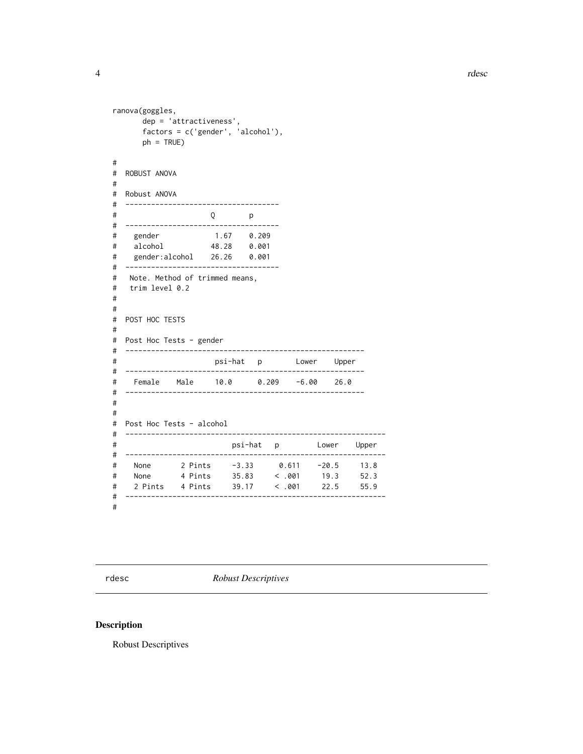```
ranova(goggles,
     dep = 'attractiveness',
     factors = c('gender', 'alcohol'),
     ph = TRUE)
#
# ROBUST ANOVA
#
# Robust ANOVA
# ------------------------------------
# Q p
# ------------------------------------
# gender 1.67 0.209
# alcohol 48.28 0.001
# gender:alcohol 26.26 0.001
# ------------------------------------
# Note. Method of trimmed means,
# trim level 0.2
#
#
# POST HOC TESTS
#
# Post Hoc Tests - gender
# --------------------------------------------------------
# psi-hat p Lower Upper
# --------------------------------------------------------
# Female Male 10.0 0.209 -6.00 26.0
# --------------------------------------------------------
#
#
# Post Hoc Tests - alcohol
# -------------------------------------------------------------
# psi-hat p Lower Upper
# -------------------------------------------------------------
# None 2 Pints -3.33 0.611 -20.5 13.8
# None 4 Pints 35.83 < .001 19.3 52.3
# 2 Pints 4 Pints 39.17 < .001 22.5 55.9
# -------------------------------------------------------------
```
#

<span id="page-3-1"></span>rdesc *Robust Descriptives*

#### Description

Robust Descriptives

<span id="page-3-0"></span>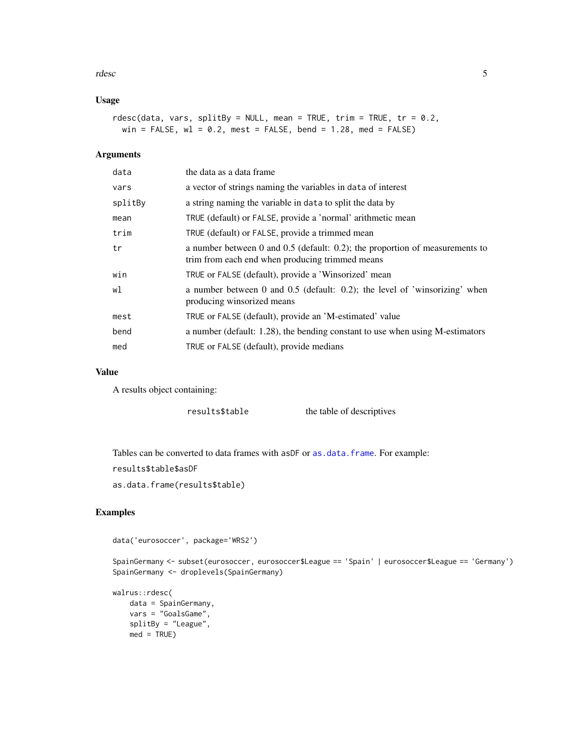<span id="page-4-0"></span>rdesc 5

#### Usage

```
rdesc(data, vars, splitBy = NULL, mean = TRUE, trim = TRUE, tr = 0.2,
 win = FALSE, wl = 0.2, mest = FALSE, bend = 1.28, med = FALSE)
```
#### Arguments

| data    | the data as a data frame                                                                                                          |
|---------|-----------------------------------------------------------------------------------------------------------------------------------|
| vars    | a vector of strings naming the variables in data of interest                                                                      |
| splitBy | a string naming the variable in data to split the data by                                                                         |
| mean    | TRUE (default) or FALSE, provide a 'normal' arithmetic mean                                                                       |
| trim    | TRUE (default) or FALSE, provide a trimmed mean                                                                                   |
| tr      | a number between 0 and $0.5$ (default: 0.2); the proportion of measurements to<br>trim from each end when producing trimmed means |
| win     | TRUE or FALSE (default), provide a 'Winsorized' mean                                                                              |
| wl      | a number between 0 and 0.5 (default: 0.2); the level of 'winsorizing' when<br>producing winsorized means                          |
| mest    | TRUE or FALSE (default), provide an 'M-estimated' value                                                                           |
| bend    | a number (default: 1.28), the bending constant to use when using M-estimators                                                     |
| med     | TRUE or FALSE (default), provide medians                                                                                          |

#### Value

A results object containing:

results\$table the table of descriptives

Tables can be converted to data frames with asDF or [as.data.frame](#page-0-0). For example:

```
results$table$asDF
```
as.data.frame(results\$table)

#### Examples

data('eurosoccer', package='WRS2')

SpainGermany <- subset(eurosoccer, eurosoccer\$League == 'Spain' | eurosoccer\$League == 'Germany') SpainGermany <- droplevels(SpainGermany)

```
walrus::rdesc(
   data = SpainGermany,
   vars = "GoalsGame",
   splitBy = "League",
   med = TRUE)
```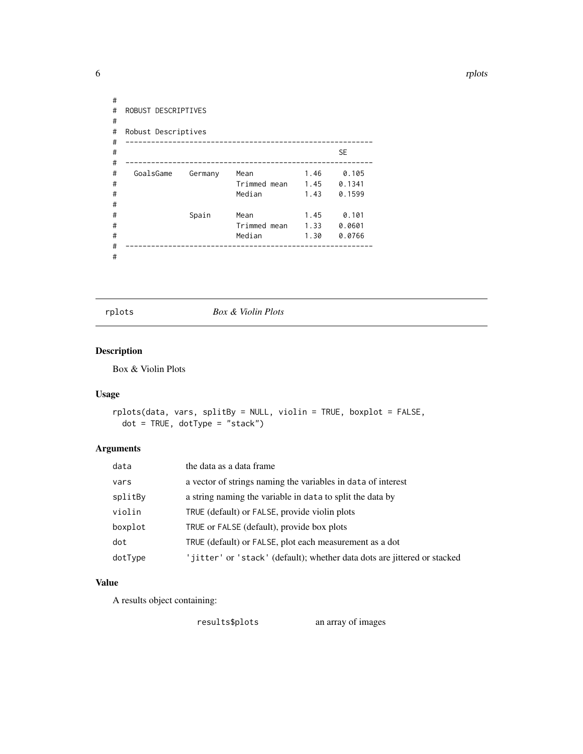<span id="page-5-0"></span>6 rplots and the contract of the contract of the contract of the contract of the contract of the contract of the contract of the contract of the contract of the contract of the contract of the contract of the contract of t

```
#
# ROBUST DESCRIPTIVES
#
# Robust Descriptives
# ----------------------------------------------------------
# SE
# ----------------------------------------------------------
# GoalsGame Germany Mean 1.46 0.105
# Trimmed mean 1.45 0.1341
# Median 1.43 0.1599
#
# Spain Mean 1.45 0.101
# Trimmed mean 1.33 0.0601
# Median 1.30 0.0766
# ----------------------------------------------------------
#
```
<span id="page-5-1"></span>

rplots *Box & Violin Plots*

#### Description

Box & Violin Plots

#### Usage

```
rplots(data, vars, splitBy = NULL, violin = TRUE, boxplot = FALSE,
 dot = TRUE, dotType = "stack")
```
#### Arguments

| data    | the data as a data frame                                                 |
|---------|--------------------------------------------------------------------------|
| vars    | a vector of strings naming the variables in data of interest             |
| splitBy | a string naming the variable in data to split the data by                |
| violin  | TRUE (default) or FALSE, provide violin plots                            |
| boxplot | TRUE or FALSE (default), provide box plots                               |
| dot     | TRUE (default) or FALSE, plot each measurement as a dot                  |
| dotType | 'jitter' or 'stack' (default); whether data dots are jittered or stacked |

#### Value

A results object containing:

results\$plots an array of images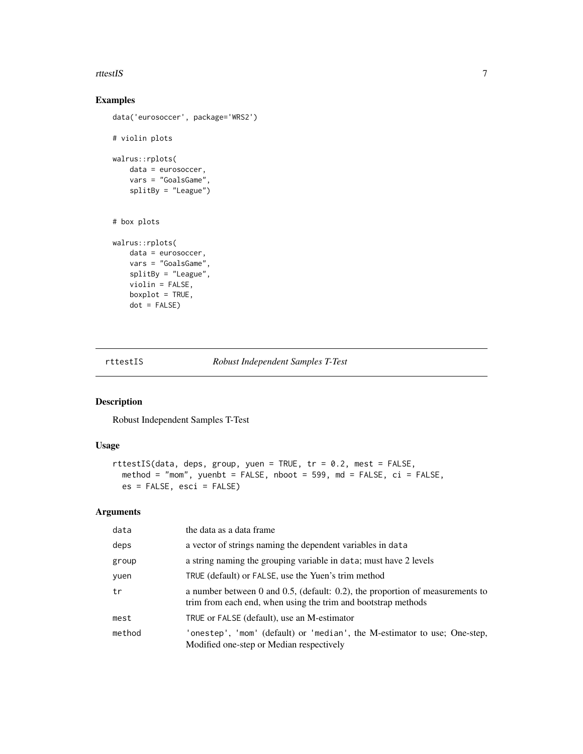#### <span id="page-6-0"></span>rttestIS 7

#### Examples

```
data('eurosoccer', package='WRS2')
# violin plots
walrus::rplots(
   data = eurosoccer,
   vars = "GoalsGame",
   splitBy = "League")
# box plots
walrus::rplots(
   data = eurosoccer,
   vars = "GoalsGame",
   splitBy = "League",
   violin = FALSE,
   boxplot = TRUE,
   dot = FALSE)
```
<span id="page-6-1"></span>

rttestIS *Robust Independent Samples T-Test*

#### Description

Robust Independent Samples T-Test

#### Usage

```
rttestIS(data, deps, group, yuen = TRUE, tr = 0.2, mest = FALSE,
 method = "mom", yuenbt = FALSE, nboot = 599, md = FALSE, ci = FALSE,
 es = FALSE, esci = FALSE)
```
#### Arguments

| data   | the data as a data frame                                                                                                                       |
|--------|------------------------------------------------------------------------------------------------------------------------------------------------|
| deps   | a vector of strings naming the dependent variables in data                                                                                     |
| group  | a string naming the grouping variable in data; must have 2 levels                                                                              |
| yuen   | TRUE (default) or FALSE, use the Yuen's trim method                                                                                            |
| tr     | a number between 0 and 0.5, (default: 0.2), the proportion of measurements to<br>trim from each end, when using the trim and bootstrap methods |
| mest   | TRUE or FALSE (default), use an M-estimator                                                                                                    |
| method | 'onestep', 'mom' (default) or 'median', the M-estimator to use; One-step,<br>Modified one-step or Median respectively                          |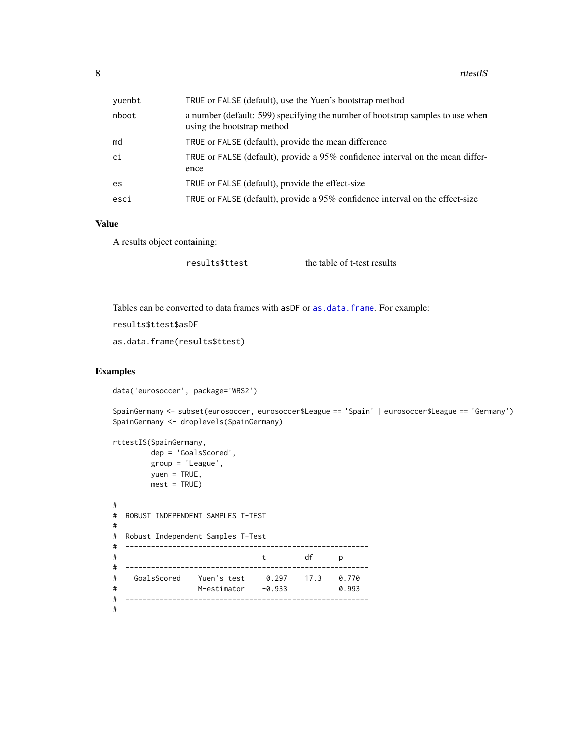<span id="page-7-0"></span>

| yuenbt | TRUE or FALSE (default), use the Yuen's bootstrap method                                                     |
|--------|--------------------------------------------------------------------------------------------------------------|
| nboot  | a number (default: 599) specifying the number of bootstrap samples to use when<br>using the bootstrap method |
| md     | TRUE or FALSE (default), provide the mean difference                                                         |
| ci     | TRUE or FALSE (default), provide a 95% confidence interval on the mean differ-<br>ence                       |
| es     | TRUE or FALSE (default), provide the effect-size                                                             |
| esci   | TRUE or FALSE (default), provide a 95% confidence interval on the effect-size                                |

#### Value

A results object containing:

results\$ttest the table of t-test results

Tables can be converted to data frames with asDF or [as.data.frame](#page-0-0). For example:

```
results$ttest$asDF
```
as.data.frame(results\$ttest)

#### Examples

data('eurosoccer', package='WRS2')

SpainGermany <- subset(eurosoccer, eurosoccer\$League == 'Spain' | eurosoccer\$League == 'Germany') SpainGermany <- droplevels(SpainGermany)

```
rttestIS(SpainGermany,
       dep = 'GoalsScored',
       group = 'League',
       yuen = TRUE,mest = TRUE)
#
# ROBUST INDEPENDENT SAMPLES T-TEST
#
# Robust Independent Samples T-Test
# ---------------------------------------------------------
# t df p
# ---------------------------------------------------------
# GoalsScored Yuen's test 0.297 17.3 0.770
# M-estimator -0.933 0.993
# ---------------------------------------------------------
#
```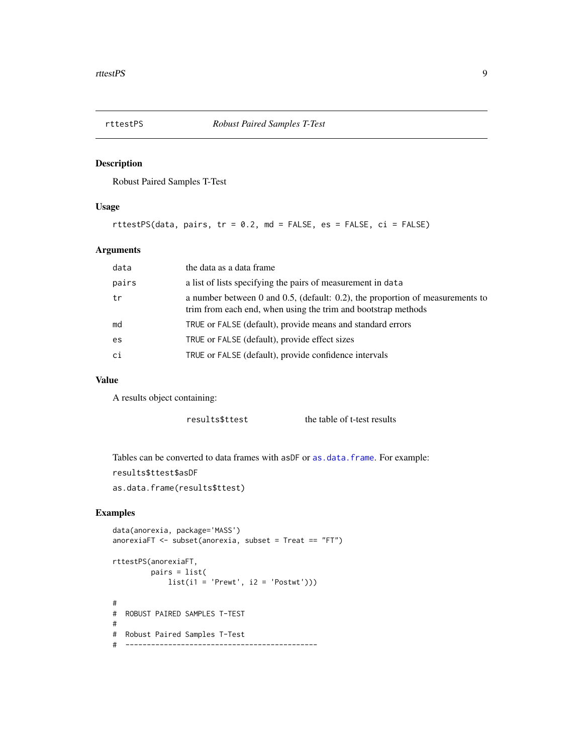<span id="page-8-0"></span>

#### Description

Robust Paired Samples T-Test

#### Usage

rttestPS(data, pairs,  $tr = 0.2$ , md = FALSE, es = FALSE,  $ci = FALSE$ )

#### Arguments

| data  | the data as a data frame                                                                                                                            |
|-------|-----------------------------------------------------------------------------------------------------------------------------------------------------|
| pairs | a list of lists specifying the pairs of measurement in data                                                                                         |
| tr    | a number between $0$ and $0.5$ , (default: 0.2), the proportion of measurements to<br>trim from each end, when using the trim and bootstrap methods |
| md    | TRUE or FALSE (default), provide means and standard errors                                                                                          |
| es    | TRUE or FALSE (default), provide effect sizes                                                                                                       |
| ci    | TRUE or FALSE (default), provide confidence intervals                                                                                               |

#### Value

A results object containing:

results\$ttest the table of t-test results

Tables can be converted to data frames with asDF or [as.data.frame](#page-0-0). For example:

```
results$ttest$asDF
```
as.data.frame(results\$ttest)

#### Examples

```
data(anorexia, package='MASS')
anorexiaFT <- subset(anorexia, subset = Treat == "FT")
rttestPS(anorexiaFT,
        pairs = list(
            list(i1 = 'Prewt', i2 = 'Postwt'))#
# ROBUST PAIRED SAMPLES T-TEST
#
# Robust Paired Samples T-Test
# ---------------------------------------------
```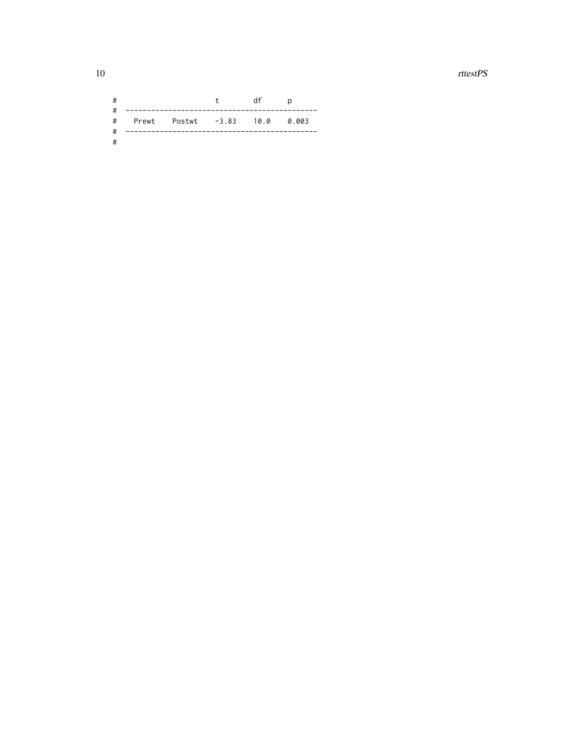$\emph{rttestPS}$ 

| # |                                 | t df | $\overline{a}$ |  |
|---|---------------------------------|------|----------------|--|
|   | # Prewt Postwt -3.83 10.0 0.003 |      |                |  |
| # |                                 |      |                |  |